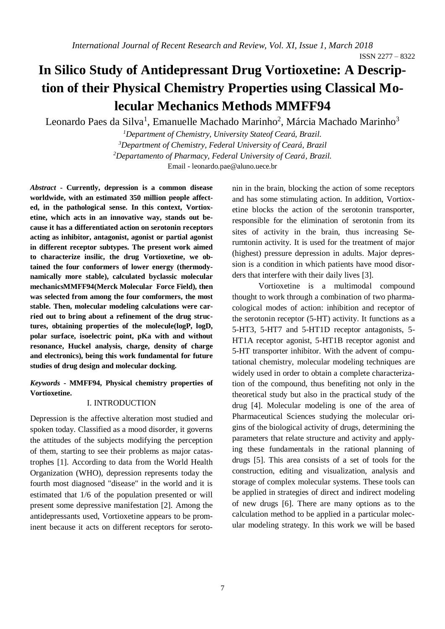ISSN 2277 – 8322

# **In Silico Study of Antidepressant Drug Vortioxetine: A Description of their Physical Chemistry Properties using Classical Molecular Mechanics Methods MMFF94**

Leonardo Paes da Silva<sup>1</sup>, Emanuelle Machado Marinho<sup>2</sup>, Márcia Machado Marinho<sup>3</sup>

*Department of Chemistry, University Stateof Ceará, Brazil. Department of Chemistry, Federal University of Ceará, Brazil Departamento of Pharmacy, Federal University of Ceará, Brazil.* Email - [leonardo.pae@aluno.uece.br](file:///E:/leonardo.pae@aluno.uece.br)

*Abstract* **- Currently, depression is a common disease worldwide, with an estimated 350 million people affected, in the pathological sense. In this context, Vortioxetine, which acts in an innovative way, stands out because it has a differentiated action on serotonin receptors acting as inhibitor, antagonist, agonist or partial agonist in different receptor subtypes. The present work aimed to characterize insilic, the drug Vortioxetine, we obtained the four conformers of lower energy (thermodynamically more stable), calculated byclassic molecular mechanicsMMFF94(Merck Molecular Force Field), then was selected from among the four comformers, the most stable. Then, molecular modeling calculations were carried out to bring about a refinement of the drug structures, obtaining properties of the molecule(logP, logD, polar surface, isoelectric point, pKa with and without resonance, Huckel analysis, charge, density of charge and electronics), being this work fundamental for future studies of drug design and molecular docking.**

*Keywords -* **MMFF94, Physical chemistry properties of Vortioxetine.**

### I. INTRODUCTION

Depression is the affective alteration most studied and spoken today. Classified as a mood disorder, it governs the attitudes of the subjects modifying the perception of them, starting to see their problems as major catastrophes [1]. According to data from the World Health Organization (WHO), depression represents today the fourth most diagnosed "disease" in the world and it is estimated that 1/6 of the population presented or will present some depressive manifestation [2]. Among the antidepressants used, Vortioxetine appears to be prominent because it acts on different receptors for serotonin in the brain, blocking the action of some receptors and has some stimulating action. In addition, Vortioxetine blocks the action of the serotonin transporter, responsible for the elimination of serotonin from its sites of activity in the brain, thus increasing Serumtonin activity. It is used for the treatment of major (highest) pressure depression in adults. Major depression is a condition in which patients have mood disorders that interfere with their daily lives [3].

Vortioxetine is a multimodal compound thought to work through a combination of two pharmacological modes of action: inhibition and receptor of the serotonin receptor (5-HT) activity. It functions as a 5-HT3, 5-HT7 and 5-HT1D receptor antagonists, 5- HT1A receptor agonist, 5-HT1B receptor agonist and 5-HT transporter inhibitor. With the advent of computational chemistry, molecular modeling techniques are widely used in order to obtain a complete characterization of the compound, thus benefiting not only in the theoretical study but also in the practical study of the drug [4]. Molecular modeling is one of the area of Pharmaceutical Sciences studying the molecular origins of the biological activity of drugs, determining the parameters that relate structure and activity and applying these fundamentals in the rational planning of drugs [5]. This area consists of a set of tools for the construction, editing and visualization, analysis and storage of complex molecular systems. These tools can be applied in strategies of direct and indirect modeling of new drugs [6]. There are many options as to the calculation method to be applied in a particular molecular modeling strategy. In this work we will be based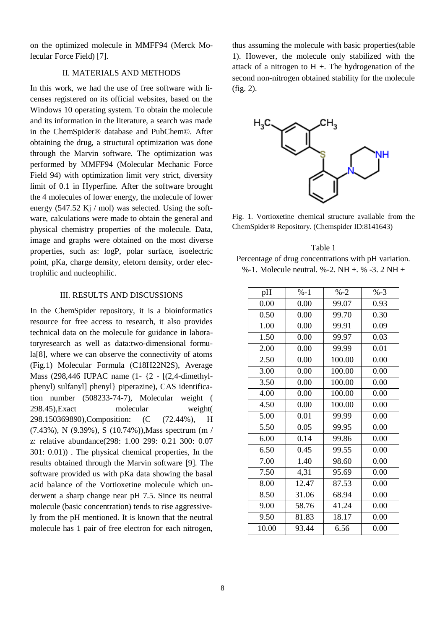on the optimized molecule in MMFF94 (Merck Molecular Force Field) [7].

# II. MATERIALS AND METHODS

In this work, we had the use of free software with licenses registered on its official websites, based on the Windows 10 operating system. To obtain the molecule and its information in the literature, a search was made in the ChemSpider® database and PubChem©. After obtaining the drug, a structural optimization was done through the Marvin software. The optimization was performed by MMFF94 (Molecular Mechanic Force Field 94) with optimization limit very strict, diversity limit of 0.1 in Hyperfine. After the software brought the 4 molecules of lower energy, the molecule of lower energy (547.52 Kj / mol) was selected. Using the software, calculations were made to obtain the general and physical chemistry properties of the molecule. Data, image and graphs were obtained on the most diverse properties, such as: logP, polar surface, isoelectric point, pKa, charge density, eletorn density, order electrophilic and nucleophilic.

## III. RESULTS AND DISCUSSIONS

In the ChemSpider repository, it is a bioinformatics resource for free access to research, it also provides technical data on the molecule for guidance in laboratoryresearch as well as data:two-dimensional formula[8], where we can observe the connectivity of atoms (Fig.1) Molecular Formula (C18H22N2S), Average Mass (298,446 IUPAC name (1- {2 - [(2,4-dimethylphenyl) sulfanyl] phenyl} piperazine), CAS identification number (508233-74-7), Molecular weight ( 298.45),Exact molecular weight( 298.150369890),Composition: (C (72.44%), H (7.43%), N (9.39%), S (10.74%)),Mass spectrum (m / z: relative abundance(298: 1.00 299: 0.21 300: 0.07 301: 0.01)) . The physical chemical properties, In the results obtained through the Marvin software [9]. The software provided us with pKa data showing the basal acid balance of the Vortioxetine molecule which underwent a sharp change near pH 7.5. Since its neutral molecule (basic concentration) tends to rise aggressively from the pH mentioned. It is known that the neutral molecule has 1 pair of free electron for each nitrogen,

thus assuming the molecule with basic properties(table 1). However, the molecule only stabilized with the attack of a nitrogen to  $H +$ . The hydrogenation of the second non-nitrogen obtained stability for the molecule (fig. 2).



Fig. 1. Vortioxetine chemical structure available from the ChemSpider® Repository. (Chemspider ID:8141643)

# Table 1 Percentage of drug concentrations with pH variation. %-1. Molecule neutral. %-2. NH +. % -3. 2 NH +

| pH    | $% -1$ | $% -2$ | $% -3$ |
|-------|--------|--------|--------|
| 0.00  | 0.00   | 99.07  | 0.93   |
| 0.50  | 0.00   | 99.70  | 0.30   |
| 1.00  | 0.00   | 99.91  | 0.09   |
| 1.50  | 0.00   | 99.97  | 0.03   |
| 2.00  | 0.00   | 99.99  | 0.01   |
| 2.50  | 0.00   | 100.00 | 0.00   |
| 3.00  | 0.00   | 100.00 | 0.00   |
| 3.50  | 0.00   | 100.00 | 0.00   |
| 4.00  | 0.00   | 100.00 | 0.00   |
| 4.50  | 0.00   | 100.00 | 0.00   |
| 5.00  | 0.01   | 99.99  | 0.00   |
| 5.50  | 0.05   | 99.95  | 0.00   |
| 6.00  | 0.14   | 99.86  | 0.00   |
| 6.50  | 0.45   | 99.55  | 0.00   |
| 7.00  | 1.40   | 98.60  | 0.00   |
| 7.50  | 4,31   | 95.69  | 0.00   |
| 8.00  | 12.47  | 87.53  | 0.00   |
| 8.50  | 31.06  | 68.94  | 0.00   |
| 9.00  | 58.76  | 41.24  | 0.00   |
| 9.50  | 81.83  | 18.17  | 0.00   |
| 10.00 | 93.44  | 6.56   | 0.00   |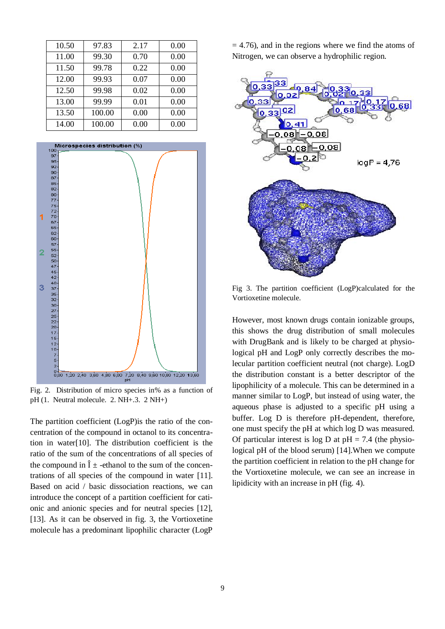| 10.50 | 97.83  | 2.17 | 0.00 |
|-------|--------|------|------|
| 11.00 | 99.30  | 0.70 | 0.00 |
| 11.50 | 99.78  | 0.22 | 0.00 |
| 12.00 | 99.93  | 0.07 | 0.00 |
| 12.50 | 99.98  | 0.02 | 0.00 |
| 13.00 | 99.99  | 0.01 | 0.00 |
| 13.50 | 100.00 | 0.00 | 0.00 |
| 14.00 | 100.00 | 0.00 | 0.00 |



Fig. 2. Distribution of micro species in% as a function of pH (1. Neutral molecule. 2. NH+.3. 2 NH+)

The partition coefficient (LogP)is the ratio of the concentration of the compound in octanol to its concentration in water[10]. The distribution coefficient is the ratio of the sum of the concentrations of all species of the compound in  $\hat{I}$   $\pm$  -ethanol to the sum of the concentrations of all species of the compound in water [11]. Based on acid / basic dissociation reactions, we can introduce the concept of a partition coefficient for cationic and anionic species and for neutral species [12], [13]. As it can be observed in fig. 3, the Vortioxetine molecule has a predominant lipophilic character (LogP  $= 4.76$ ), and in the regions where we find the atoms of Nitrogen, we can observe a hydrophilic region.



Fig 3. The partition coefficient (LogP)calculated for the Vortioxetine molecule.

However, most known drugs contain ionizable groups, this shows the drug distribution of small molecules with DrugBank and is likely to be charged at physiological pH and LogP only correctly describes the molecular partition coefficient neutral (not charge). LogD the distribution constant is a better descriptor of the lipophilicity of a molecule. This can be determined in a manner similar to LogP, but instead of using water, the aqueous phase is adjusted to a specific pH using a buffer. Log D is therefore pH-dependent, therefore, one must specify the pH at which log D was measured. Of particular interest is log D at  $pH = 7.4$  (the physiological pH of the blood serum) [14].When we compute the partition coefficient in relation to the pH change for the Vortioxetine molecule, we can see an increase in lipidicity with an increase in pH (fig. 4).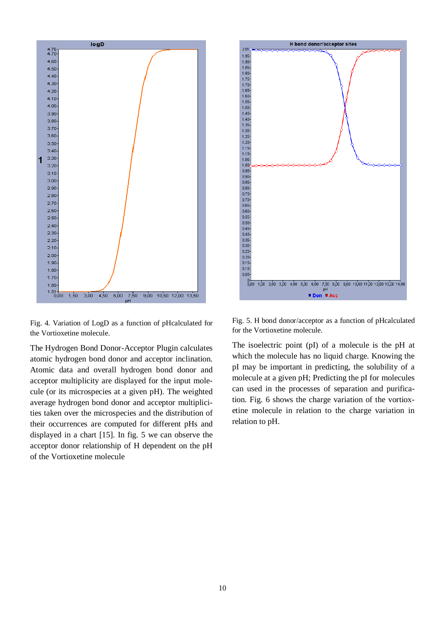

Fig. 4. Variation of LogD as a function of pHcalculated for the Vortioxetine molecule.

The Hydrogen Bond Donor-Acceptor Plugin calculates atomic hydrogen bond donor and acceptor inclination. Atomic data and overall hydrogen bond donor and acceptor multiplicity are displayed for the input molecule (or its microspecies at a given pH). The weighted average hydrogen bond donor and acceptor multiplicities taken over the microspecies and the distribution of their occurrences are computed for different pHs and displayed in a chart [15]. In fig. 5 we can observe the acceptor donor relationship of H dependent on the pH of the Vortioxetine molecule



Fig. 5. H bond donor/acceptor as a function of pHcalculated for the Vortioxetine molecule.

The isoelectric point (pI) of a molecule is the pH at which the molecule has no liquid charge. Knowing the pI may be important in predicting, the solubility of a molecule at a given pH; Predicting the pI for molecules can used in the processes of separation and purification. Fig. 6 shows the charge variation of the vortioxetine molecule in relation to the charge variation in relation to pH.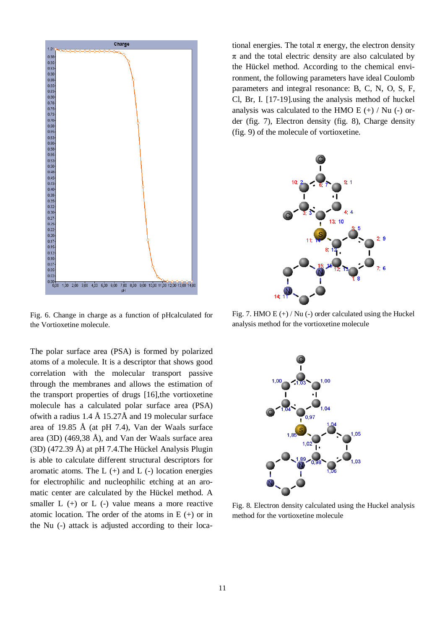

Fig. 6. Change in charge as a function of pHcalculated for the Vortioxetine molecule.

The polar surface area (PSA) is formed by polarized atoms of a molecule. It is a descriptor that shows good correlation with the molecular transport passive through the membranes and allows the estimation of the transport properties of drugs [16],the vortioxetine molecule has a calculated polar surface area (PSA) of with a radius  $1.4 \text{ Å}$  15.27Å and 19 molecular surface area of 19.85 Å (at pH 7.4), Van der Waals surface area (3D) (469,38 Å), and Van der Waals surface area (3D) (472.39 Å) at pH 7.4.The Hückel Analysis Plugin is able to calculate different structural descriptors for aromatic atoms. The  $L$  (+) and  $L$  (-) location energies for electrophilic and nucleophilic etching at an aromatic center are calculated by the Hückel method. A smaller  $L$  (+) or  $L$  (-) value means a more reactive atomic location. The order of the atoms in  $E$  (+) or in the Nu (-) attack is adjusted according to their locational energies. The total  $\pi$  energy, the electron density  $\pi$  and the total electric density are also calculated by the Hückel method. According to the chemical environment, the following parameters have ideal Coulomb parameters and integral resonance: B, C, N, O, S, F, Cl, Br, I. [17-19].using the analysis method of huckel analysis was calculated to the HMO E  $(+)$  / Nu  $(-)$  order (fig. 7), Electron density (fig. 8), Charge density (fig. 9) of the molecule of vortioxetine.



Fig. 7. HMO E  $(+)$  / Nu  $(-)$  order calculated using the Huckel analysis method for the vortioxetine molecule



Fig. 8. Electron density calculated using the Huckel analysis method for the vortioxetine molecule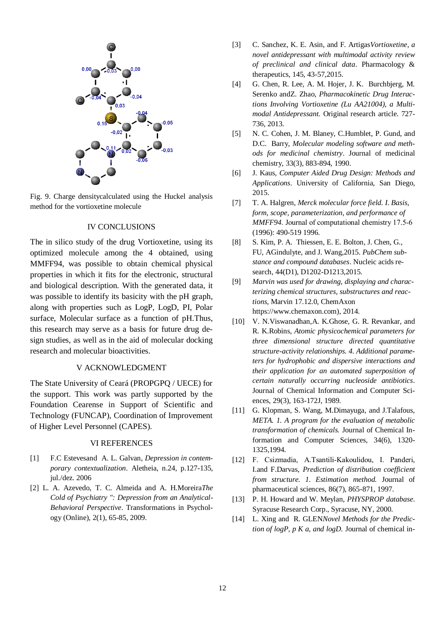

Fig. 9. Charge densitycalculated using the Huckel analysis method for the vortioxetine molecule

# IV CONCLUSIONS

The in silico study of the drug Vortioxetine, using its optimized molecule among the 4 obtained, using MMFF94, was possible to obtain chemical physical properties in which it fits for the electronic, structural and biological description. With the generated data, it was possible to identify its basicity with the pH graph, along with properties such as LogP, LogD, PI, Polar surface, Molecular surface as a function of pH.Thus, this research may serve as a basis for future drug design studies, as well as in the aid of molecular docking research and molecular bioactivities.

# V ACKNOWLEDGMENT

The State University of Ceará (PROPGPQ / UECE) for the support. This work was partly supported by the Foundation Cearense in Support of Scientific and Technology (FUNCAP), Coordination of Improvement of Higher Level Personnel (CAPES).

#### VI REFERENCES

- [1] F.C Estevesand A. L. Galvan, *Depression in contemporary contextualization*. Aletheia, n.24, p.127-135, jul./dez. 2006
- [2] L. A. Azevedo, T. C. Almeida and A. H.Moreira*The Cold of Psychiatry ": Depression from an Analytical-Behavioral Perspective*. Transformations in Psychology (Online), 2(1), 65-85, 2009.
- [3] C. Sanchez, K. E. Asin, and F. Artigas*Vortioxetine, a novel antidepressant with multimodal activity review of preclinical and clinical data*. Pharmacology & therapeutics, 145, 43-57,2015.
- [4] G. Chen, R. Lee, A. M. Hojer, J. K. Burchbjerg, M. Serenko andZ. Zhao, *Pharmacokinetic Drug Interactions Involving Vortioxetine (Lu AA21004), a Multimodal Antidepressant.* Original research article. 727- 736, 2013.
- [5] N. C. Cohen, J. M. Blaney, C.Humblet, P. Gund, and D.C. Barry, *Molecular modeling software and methods for medicinal chemistry*. Journal of medicinal chemistry, 33(3), 883-894, 1990.
- [6] J. Kaus, *Computer Aided Drug Design: Methods and Applications*. University of California, San Diego, 2015.
- [7] T. A. Halgren, *Merck molecular force field. I. Basis, form, scope, parameterization, and performance of MMFF94*. Journal of computational chemistry 17.5‐6 (1996): 490-519 1996.
- [8] S. Kim, P. A. Thiessen, E. E. Bolton, J. Chen, G., FU, AGindulyte, and J. Wang,2015*. PubChem substance and compound databases*. Nucleic acids research, 44(D1), D1202-D1213,2015.
- [9] *Marvin was used for drawing, displaying and characterizing chemical structures, substructures and reactions*, Marvin 17.12.0, ChemAxon https://www.chemaxon.com), 2014.
- [10] V. N.Viswanadhan,A. K.Ghose, G. R. Revankar, and R. K.Robins, *Atomic physicochemical parameters for three dimensional structure directed quantitative structure-activity relationships. 4. Additional parameters for hydrophobic and dispersive interactions and their application for an automated superposition of certain naturally occurring nucleoside antibiotics*. Journal of Chemical Information and Computer Sciences, 29(3), 163-172J, 1989.
- [11] G. Klopman, S. Wang, M.Dimayuga, and J.Talafous, *META. 1. A program for the evaluation of metabolic transformation of chemicals.* Journal of Chemical Information and Computer Sciences, 34(6), 1320- 1325,1994.
- [12] F. Csizmadia, A.Tsantili‐Kakoulidou, I. Panderi, I.and F.Darvas, *Prediction of distribution coefficient from structure. 1. Estimation method.* Journal of pharmaceutical sciences, 86(7), 865-871, 1997.
- [13] P. H. Howard and W. Meylan, *PHYSPROP database*. Syracuse Research Corp., Syracuse, NY, 2000.
- [14] L. Xing and R. GLEN*Novel Methods for the Prediction of logP, p K a, and logD.* Journal of chemical in-